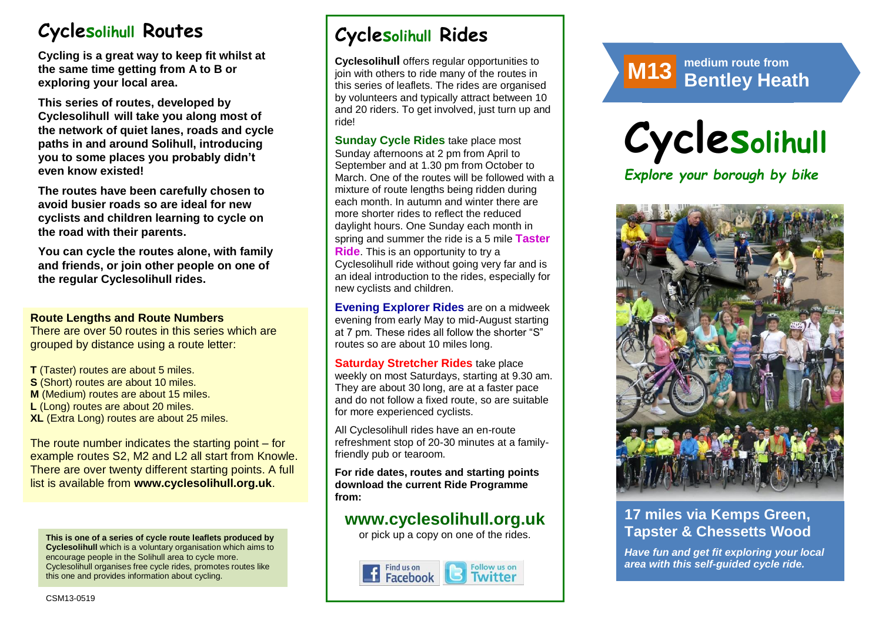# **Cyclesolihull Routes**

**Cycling is a great way to keep fit whilst at the same time getting from A to B or exploring your local area.** 

**This series of routes, developed by Cyclesolihull will take you along most of the network of quiet lanes, roads and cycle paths in and around Solihull, introducing you to some places you probably didn't even know existed!**

**The routes have been carefully chosen to avoid busier roads so are ideal for new cyclists and children learning to cycle on the road with their parents.** 

**You can cycle the routes alone, with family and friends, or join other people on one of the regular Cyclesolihull rides.**

#### **Route Lengths and Route Numbers**

There are over 50 routes in this series which are grouped by distance using a route letter:

**T** (Taster) routes are about 5 miles. **S** (Short) routes are about 10 miles. **M** (Medium) routes are about 15 miles. **L** (Long) routes are about 20 miles. **XL** (Extra Long) routes are about 25 miles.

The route number indicates the starting point – for example routes S2, M2 and L2 all start from Knowle. There are over twenty different starting points. A full list is available from **www.cyclesolihull.org.uk**.

**This is one of a series of cycle route leaflets produced by Cyclesolihull** which is a voluntary organisation which aims to encourage people in the Solihull area to cycle more. Cyclesolihull organises free cycle rides, promotes routes like this one and provides information about cycling.

# **Cyclesolihull Rides**

**Cyclesolihull** offers regular opportunities to join with others to ride many of the routes in this series of leaflets. The rides are organised by volunteers and typically attract between 10 and 20 riders. To get involved, just turn up and ride!

**Sunday Cycle Rides** take place most Sunday afternoons at 2 pm from April to September and at 1.30 pm from October to March. One of the routes will be followed with a mixture of route lengths being ridden during each month. In autumn and winter there are more shorter rides to reflect the reduced daylight hours. One Sunday each month in spring and summer the ride is a 5 mile **Taster Ride**. This is an opportunity to try a Cyclesolihull ride without going very far and is an ideal introduction to the rides, especially for new cyclists and children.

**Evening Explorer Rides** are on a midweek evening from early May to mid-August starting at 7 pm. These rides all follow the shorter "S" routes so are about 10 miles long.

**Saturday Stretcher Rides** take place weekly on most Saturdays, starting at 9.30 am. They are about 30 long, are at a faster pace and do not follow a fixed route, so are suitable for more experienced cyclists.

All Cyclesolihull rides have an en-route refreshment stop of 20-30 minutes at a familyfriendly pub or tearoom.

**For ride dates, routes and starting points download the current Ride Programme from:** 

## **www.cyclesolihull.org.uk**

or pick up a copy on one of the rides.





# **Cyclesolihull**

*Explore your borough by bike*



## **17 miles via Kemps Green, Tapster & Chessetts Wood**

*Have fun and get fit exploring your local area with this self-guided cycle ride.*